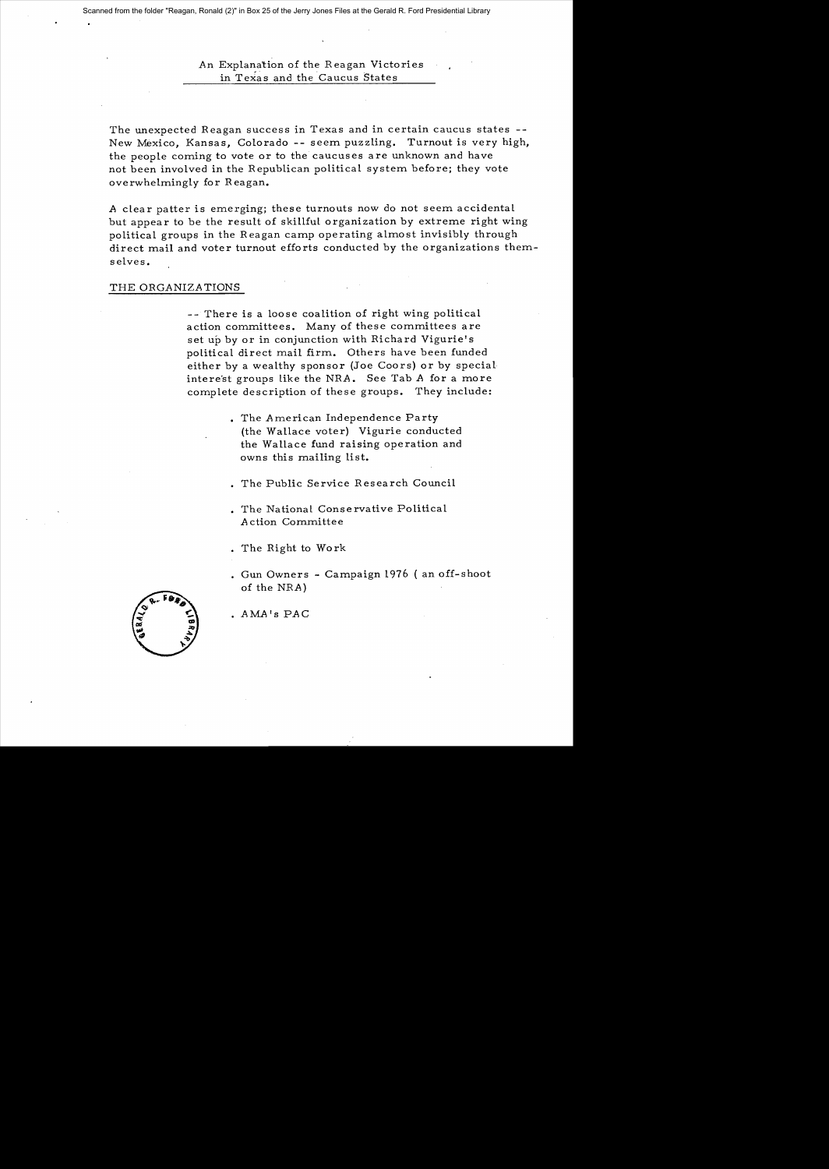# *An* Explanation of the R eagan Victories in Texas and the Caucus States

The unexpected Reagan success in Texas and in certain caucus states - New Mexico, Kansas, Colorado -- seem puzzling. Turnout is very high, the people coming to vote or to the caucuses are unknown and have not been involved in the Republican political system before; they vote overwhelmingly for Reagan.

A clear patter is emerging; these turnouts now do not seem accidental but appear to be the result of skillful organization by extreme right wing political groups in the Reagan camp operating almost invisibly through direct mail and voter turnout efforts conducted by the organizations themselves.

## THE ORGANIZATIONS

-- There is a loose coalition of right wing political action committees. Many of these committees are set up by or in conjunction with Richard Vigurie's political direct mail firm. Others have been funded either by a wealthy sponsor (Joe Coors) or by special intere'st groups like the *NRA.* See Tab *A* for a more complete description of these groups. They include:

- . The American Independence Party (the Wallace voter) Vigurie conducted the Wallace fund raising operation and owns this mailing list.
- The Public Service Research Council
- . The National Conservative Political A ction Committee
- . The Right to Work
- Gun Owners Campaign 1976 ( an off-shoot of the *NRA)*



*AMA* IS *PAC*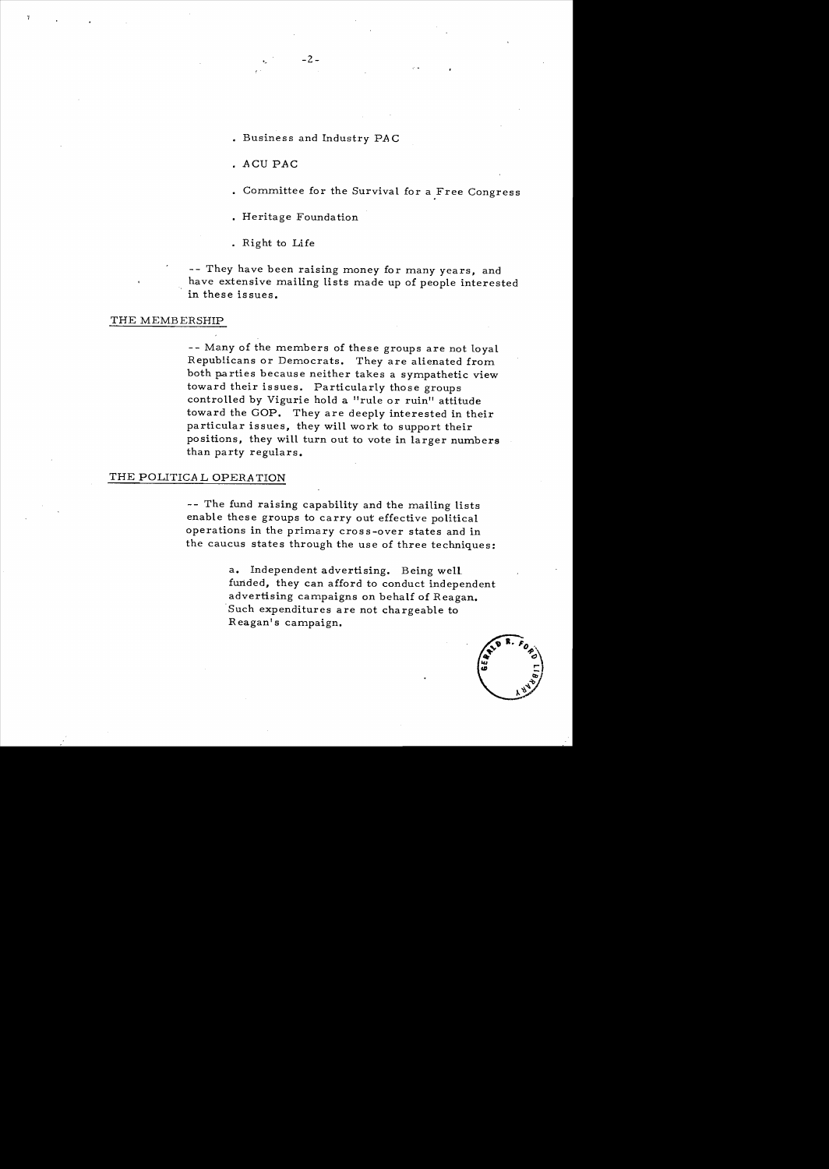• Busines s and Industry *PA* C

 $-2-$ 

- ACU *PAC*
- Committee for the Survival for a Free Congress
- Heritage Foundation
- · Right to Life

-- They have been raising money for many years, and have extensive mailing lists made up of people interested in these issues.

#### THE MEMBERSHIP

-- Many of the members of these groups are not loyal Republicans or Democrats. They are alienated from both parties because neither takes a sympathetic view toward their issues. Particularly those groups controlled by Vigurie hold a "rule or ruin" attitude toward the GOP. They are deeply interested in their particular issues. they will work to support their positions. they will turn out to vote in larger numbers than party regulars.

### THE POLITICA L *OPERA* TION

-- The fund raising capability and the mailing lists enable these groups to carry out effective political operations in the primary cross-over states and in the caucus states through the use of three techniques:

> a. Independent advertising. Being well. funded, they can afford to conduct independent advertising campaigns on behalf of Reagan. Such expenditures are not chargeable to Reagan's campaign.